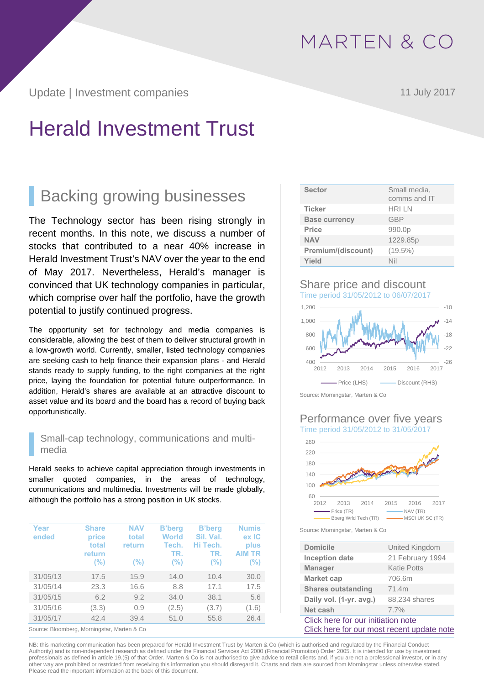Update | Investment companies 11 July 2017

# Herald Investment Trust

# Backing growing businesses

The Technology sector has been rising strongly in recent months. In this note, we discuss a number of stocks that contributed to a near 40% increase in Herald Investment Trust's NAV over the year to the end of May 2017. Nevertheless, Herald's manager is convinced that UK technology companies in particular, which comprise over half the portfolio, have the growth potential to justify continued progress.

The opportunity set for technology and media companies is considerable, allowing the best of them to deliver structural growth in a low-growth world. Currently, smaller, listed technology companies are seeking cash to help finance their expansion plans - and Herald stands ready to supply funding, to the right companies at the right price, laying the foundation for potential future outperformance. In addition, Herald's shares are available at an attractive discount to asset value and its board and the board has a record of buying back opportunistically.

### Small-cap technology, communications and multimedia

Herald seeks to achieve capital appreciation through investments in smaller quoted companies, in the areas of technology, communications and multimedia. Investments will be made globally, although the portfolio has a strong position in UK stocks.

| Year<br>ended | <b>Share</b><br>price<br>total<br>return<br>$(\%)$ | <b>NAV</b><br>total<br>return<br>(%) | <b>B'berg</b><br>World<br>Tech.<br>TR.<br>(%) | <b>B'berg</b><br>Sil. Val.<br>Hi Tech.<br>TR.<br>(%) | <b>Numis</b><br>ex IC<br>plus<br><b>AIM TR</b><br>$(\%)$ |
|---------------|----------------------------------------------------|--------------------------------------|-----------------------------------------------|------------------------------------------------------|----------------------------------------------------------|
| 31/05/13      | 17.5                                               | 15.9                                 | 14.0                                          | 10.4                                                 | 30.0                                                     |
| 31/05/14      | 23.3                                               | 16.6                                 | 8.8                                           | 17.1                                                 | 17.5                                                     |
| 31/05/15      | 6.2                                                | 9.2                                  | 34.0                                          | 38.1                                                 | 5.6                                                      |
| 31/05/16      | (3.3)                                              | 0.9                                  | (2.5)                                         | (3.7)                                                | (1.6)                                                    |
| 31/05/17      | 42.4                                               | 39.4                                 | 51.0                                          | 55.8                                                 | 26.4                                                     |

Source: Bloomberg, Morningstar, Marten & Co

NB: this marketing communication has been prepared for Herald Investment Trust by Marten & Co (which is authorised and regulated by the Financial Conduct Authority) and is non-independent research as defined under the Financial Services Act 2000 (Financial Promotion) Order 2005. It is intended for use by investment professionals as defined in article 19.(5) of that Order. Marten & Co is not authorised to give advice to retail clients and, if you are not a professional investor, or in any other way are prohibited or restricted from receiving this information you should disregard it. Charts and data are sourced from Morningstar unless otherwise stated. Please read the important information at the back of this document.

| <b>Sector</b>        | Small media,<br>comms and IT |
|----------------------|------------------------------|
| <b>Ticker</b>        | <b>HRILN</b>                 |
| <b>Base currency</b> | <b>GBP</b>                   |
| Price                | 990.0p                       |
| <b>NAV</b>           | 1229.85p                     |
| Premium/(discount)   | $(19.5\%)$                   |
| Yield                | Nil                          |

#### Share price and discount Time period 31/05/2012 to 06/07/2017



Source: Morningstar, Marten & Co

### Performance over five years Time period 31/05/2012 to 31/05/2017



Source: Morningstar, Marten & Co

| <b>Domicile</b>                            | United Kingdom     |  |
|--------------------------------------------|--------------------|--|
| <b>Inception date</b>                      | 21 February 1994   |  |
| <b>Manager</b>                             | <b>Katie Potts</b> |  |
| <b>Market cap</b>                          | 706.6m             |  |
| <b>Shares outstanding</b>                  | 71.4m              |  |
| Daily vol. (1-yr. avg.)                    | 88,234 shares      |  |
| Net cash                                   | 7.7%               |  |
| Click here for our initiation note         |                    |  |
| Click here for our most recent update note |                    |  |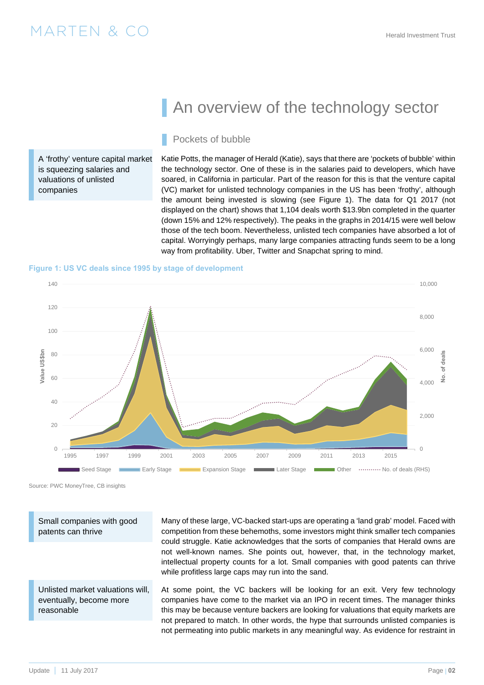A 'frothy' venture capital market is squeezing salaries and valuations of unlisted companies

# An overview of the technology sector

### Pockets of bubble

Katie Potts, the manager of Herald (Katie), says that there are 'pockets of bubble' within the technology sector. One of these is in the salaries paid to developers, which have soared, in California in particular. Part of the reason for this is that the venture capital (VC) market for unlisted technology companies in the US has been 'frothy', although the amount being invested is slowing (see Figure 1). The data for Q1 2017 (not displayed on the chart) shows that 1,104 deals worth \$13.9bn completed in the quarter (down 15% and 12% respectively). The peaks in the graphs in 2014/15 were well below those of the tech boom. Nevertheless, unlisted tech companies have absorbed a lot of capital. Worryingly perhaps, many large companies attracting funds seem to be a long way from profitability. Uber, Twitter and Snapchat spring to mind.

#### **Figure 1: US VC deals since 1995 by stage of development**



Source: PWC MoneyTree, CB insights

Small companies with good patents can thrive

Unlisted market valuations will, eventually, become more reasonable

Many of these large, VC-backed start-ups are operating a 'land grab' model. Faced with competition from these behemoths, some investors might think smaller tech companies could struggle. Katie acknowledges that the sorts of companies that Herald owns are not well-known names. She points out, however, that, in the technology market, intellectual property counts for a lot. Small companies with good patents can thrive while profitless large caps may run into the sand.

At some point, the VC backers will be looking for an exit. Very few technology companies have come to the market via an IPO in recent times. The manager thinks this may be because venture backers are looking for valuations that equity markets are not prepared to match. In other words, the hype that surrounds unlisted companies is not permeating into public markets in any meaningful way. As evidence for restraint in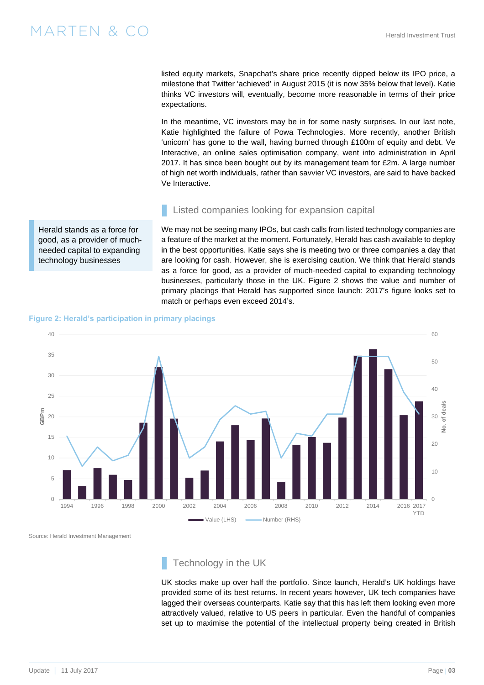Herald stands as a force for good, as a provider of muchneeded capital to expanding technology businesses

listed equity markets, Snapchat's share price recently dipped below its IPO price, a milestone that Twitter 'achieved' in August 2015 (it is now 35% below that level). Katie thinks VC investors will, eventually, become more reasonable in terms of their price expectations.

In the meantime, VC investors may be in for some nasty surprises. In our last note, Katie highlighted the failure of Powa Technologies. More recently, another British 'unicorn' has gone to the wall, having burned through £100m of equity and debt. Ve Interactive, an online sales optimisation company, went into administration in April 2017. It has since been bought out by its management team for £2m. A large number of high net worth individuals, rather than savvier VC investors, are said to have backed Ve Interactive.

### Listed companies looking for expansion capital

We may not be seeing many IPOs, but cash calls from listed technology companies are a feature of the market at the moment. Fortunately, Herald has cash available to deploy in the best opportunities. Katie says she is meeting two or three companies a day that are looking for cash. However, she is exercising caution. We think that Herald stands as a force for good, as a provider of much-needed capital to expanding technology businesses, particularly those in the UK. Figure 2 shows the value and number of primary placings that Herald has supported since launch: 2017's figure looks set to match or perhaps even exceed 2014's.





Source: Herald Investment Management

Technology in the UK

UK stocks make up over half the portfolio. Since launch, Herald's UK holdings have provided some of its best returns. In recent years however, UK tech companies have lagged their overseas counterparts. Katie say that this has left them looking even more attractively valued, relative to US peers in particular. Even the handful of companies set up to maximise the potential of the intellectual property being created in British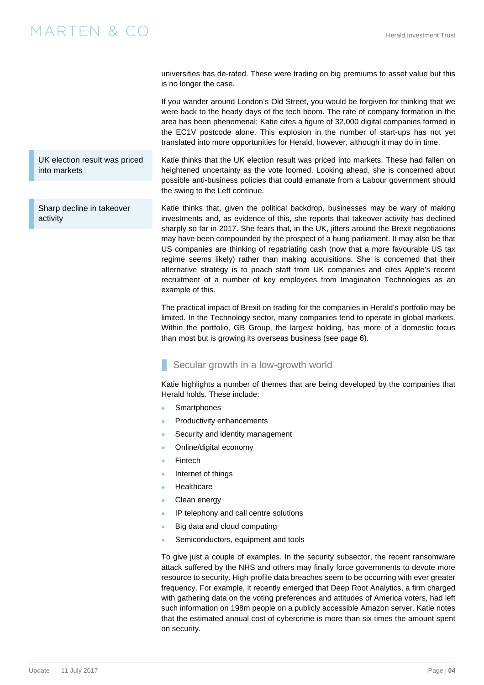### $\text{MARTEN} \ \text{\&} \ \text{CO} \qquad \qquad \text{MARTEN} \ \text{C} \odot \qquad \qquad \text{MRTEN} \qquad \text{C} \odot \qquad \qquad \text{MRTEN} \qquad \text{C} \odot \qquad \qquad \text{MRTEN} \qquad \text{C} \odot \qquad \qquad \text{MRTEN} \qquad \text{C} \odot \qquad \qquad \text{MRTEN} \qquad \text{C} \odot \qquad \qquad \text{MRTEN} \qquad \text{C} \odot \qquad \qquad \text{MRTEN} \qquad \text{MRTEN} \qquad \text{MRTEN} \q$

universities has de-rated. These were trading on big premiums to asset value but this is no longer the case.

If you wander around London's Old Street, you would be forgiven for thinking that we were back to the heady days of the tech boom. The rate of company formation in the area has been phenomenal; Katie cites a figure of 32,000 digital companies formed in the EC1V postcode alone. This explosion in the number of start-ups has not yet translated into more opportunities for Herald, however, although it may do in time.

Katie thinks that the UK election result was priced into markets. These had fallen on heightened uncertainty as the vote loomed. Looking ahead, she is concerned about possible anti-business policies that could emanate from a Labour government should the swing to the Left continue. UK election result was priced into markets

Katie thinks that, given the political backdrop, businesses may be wary of making investments and, as evidence of this, she reports that takeover activity has declined sharply so far in 2017. She fears that, in the UK, jitters around the Brexit negotiations may have been compounded by the prospect of a hung parliament. It may also be that US companies are thinking of repatriating cash (now that a more favourable US tax regime seems likely) rather than making acquisitions. She is concerned that their alternative strategy is to poach staff from UK companies and cites Apple's recent recruitment of a number of key employees from Imagination Technologies as an example of this. Sharp decline in takeover activity

> The practical impact of Brexit on trading for the companies in Herald's portfolio may be limited. In the Technology sector, many companies tend to operate in global markets. Within the portfolio, GB Group, the largest holding, has more of a domestic focus than most but is growing its overseas busi[ness \(see p](#page-4-0)[age](#page-5-0) 6).

### Secular growth in a low-growth world

Katie highlights a number of themes that are being developed by the companies that Herald holds. These include:

- **Smartphones**
- Productivity enhancements
- Security and identity management
- Online/digital economy
- Fintech
- Internet of things
- **Healthcare**
- Clean energy
- IP telephony and call centre solutions
- Big data and cloud computing
- Semiconductors, equipment and tools

To give just a couple of examples. In the security subsector, the recent ransomware attack suffered by the NHS and others may finally force governments to devote more resource to security. High-profile data breaches seem to be occurring with ever greater frequency. For example, it recently emerged that Deep Root Analytics, a firm charged with gathering data on the voting preferences and attitudes of America voters, had left such information on 198m people on a publicly accessible Amazon server. Katie notes that the estimated annual cost of cybercrime is more than six times the amount spent on security.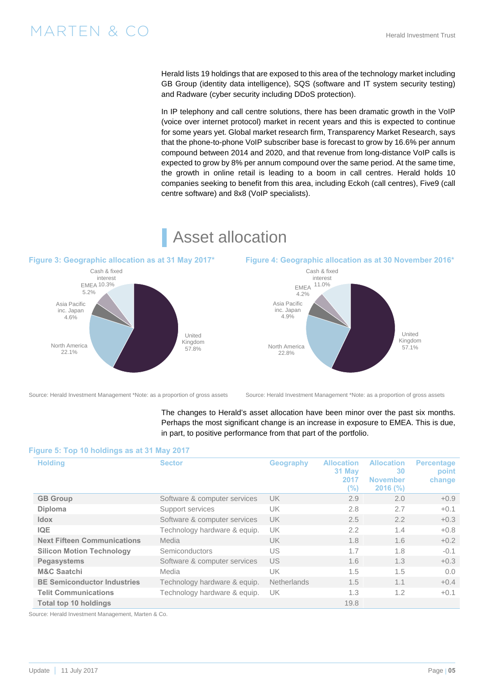### <span id="page-4-0"></span>MARTEN & CO

Herald lists 19 holdings that are exposed to this area of the technology market including GB Group (identity data intelligence), SQS (software and IT system security testing) and Radware (cyber security including DDoS protection).

In IP telephony and call centre solutions, there has been dramatic growth in the VoIP (voice over internet protocol) market in recent years and this is expected to continue for some years yet. Global market research firm, Transparency Market Research, says that the phone-to-phone VoIP subscriber base is forecast to grow by 16.6% per annum compound between 2014 and 2020, and that revenue from long-distance VoIP calls is expected to grow by 8% per annum compound over the same period. At the same time, the growth in online retail is leading to a boom in call centres. Herald holds 10 companies seeking to benefit from this area, including Eckoh (call centres), Five9 (call centre software) and 8x8 (VoIP specialists).

# Asset allocation







Source: Herald Investment Management \*Note: as a proportion of gross assets Source: Herald Investment Management \*Note: as a proportion of gross assets

The changes to Herald's asset allocation have been minor over the past six months. Perhaps the most significant change is an increase in exposure to EMEA. This is due, in part, to positive performance from that part of the portfolio.

#### **Figure 5: Top 10 holdings as at 31 May 2017**

| <b>Holding</b>                     | <b>Sector</b>                | <b>Geography</b>   | <b>Allocation</b><br>31 May<br>2017<br>(%) | <b>Allocation</b><br>30<br><b>November</b><br>$2016$ (%) | <b>Percentage</b><br>point<br>change |
|------------------------------------|------------------------------|--------------------|--------------------------------------------|----------------------------------------------------------|--------------------------------------|
| <b>GB Group</b>                    | Software & computer services | UK                 | 2.9                                        | 2.0                                                      | $+0.9$                               |
| <b>Diploma</b>                     | Support services             | <b>UK</b>          | 2.8                                        | 2.7                                                      | $+0.1$                               |
| <b>Idox</b>                        | Software & computer services | UK.                | 2.5                                        | 2.2                                                      | $+0.3$                               |
| <b>IQE</b>                         | Technology hardware & equip. | <b>UK</b>          | 2.2                                        | 1.4                                                      | $+0.8$                               |
| <b>Next Fifteen Communications</b> | Media                        | <b>UK</b>          | 1.8                                        | 1.6                                                      | $+0.2$                               |
| <b>Silicon Motion Technology</b>   | <b>Semiconductors</b>        | US                 | 1.7                                        | 1.8                                                      | $-0.1$                               |
| <b>Pegasystems</b>                 | Software & computer services | US                 | 1.6                                        | 1.3                                                      | $+0.3$                               |
| <b>M&amp;C Saatchi</b>             | Media                        | UK                 | 1.5                                        | 1.5                                                      | 0.0                                  |
| <b>BE Semiconductor Industries</b> | Technology hardware & equip. | <b>Netherlands</b> | 1.5                                        | 1.1                                                      | $+0.4$                               |
| <b>Telit Communications</b>        | Technology hardware & equip. | <b>UK</b>          | 1.3                                        | 1.2                                                      | $+0.1$                               |
| <b>Total top 10 holdings</b>       |                              |                    | 19.8                                       |                                                          |                                      |

Source: Herald Investment Management, Marten & Co.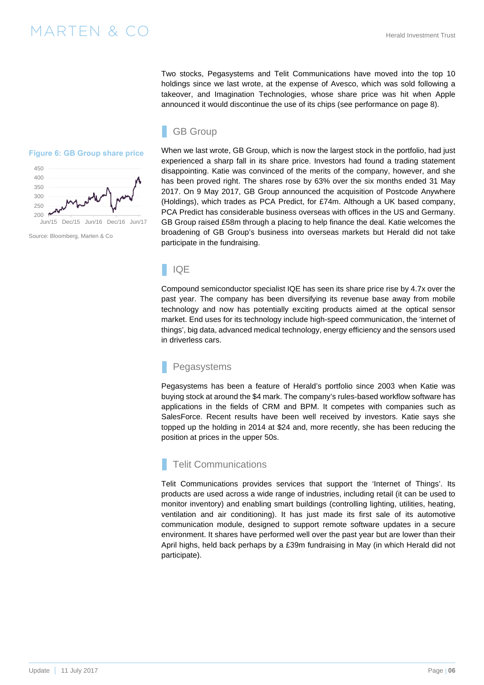Two stocks, Pegasystems and Telit Communications have moved into the top 10 holdings since we last wrote, at the expense of Avesco, which was sold following a takeover, and Imagination Technologies, whose share price was hit when Apple announced it would discontinue the use of its chips [\(see performance on page 8](#page-7-0)).

#### <span id="page-5-0"></span>**Figure 6: GB Group share price**



Source: Bloomberg, Marten & Co

### GB Group

When we last wrote, GB Group, which is now the largest stock in the portfolio, had just experienced a sharp fall in its share price. Investors had found a trading statement disappointing. Katie was convinced of the merits of the company, however, and she has been proved right. The shares rose by 63% over the six months ended 31 May 2017. On 9 May 2017, GB Group announced the acquisition of Postcode Anywhere (Holdings), which trades as PCA Predict, for £74m. Although a UK based company, PCA Predict has considerable business overseas with offices in the US and Germany. GB Group raised £58m through a placing to help finance the deal. Katie welcomes the broadening of GB Group's business into overseas markets but Herald did not take participate in the fundraising.

#### IQE

Compound semiconductor specialist IQE has seen its share price rise by 4.7x over the past year. The company has been diversifying its revenue base away from mobile technology and now has potentially exciting products aimed at the optical sensor market. End uses for its technology include high-speed communication, the 'internet of things', big data, advanced medical technology, energy efficiency and the sensors used in driverless cars.

### Pegasystems

Pegasystems has been a feature of Herald's portfolio since 2003 when Katie was buying stock at around the \$4 mark. The company's rules-based workflow software has applications in the fields of CRM and BPM. It competes with companies such as SalesForce. Recent results have been well received by investors. Katie says she topped up the holding in 2014 at \$24 and, more recently, she has been reducing the position at prices in the upper 50s.

### Telit Communications

Telit Communications provides services that support the 'Internet of Things'. Its products are used across a wide range of industries, including retail (it can be used to monitor inventory) and enabling smart buildings (controlling lighting, utilities, heating, ventilation and air conditioning). It has just made its first sale of its automotive communication module, designed to support remote software updates in a secure environment. It shares have performed well over the past year but are lower than their April highs, held back perhaps by a £39m fundraising in May (in which Herald did not participate).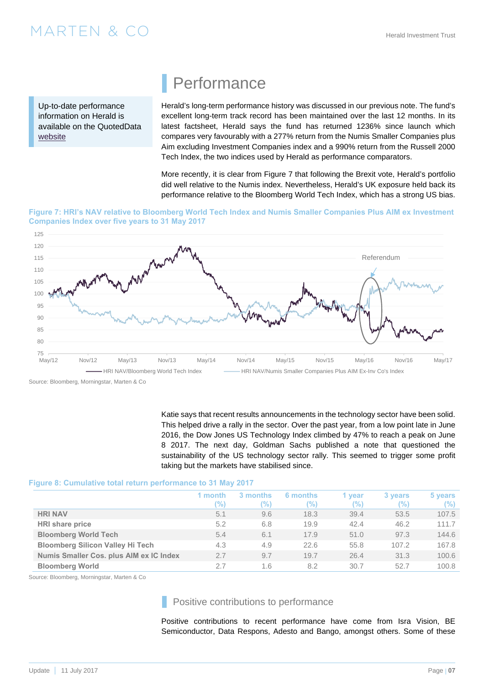# $\text{MARTEN} \ \text{\&} \ \text{CO} \qquad \qquad \text{MARTEN} \ \text{C} \odot \qquad \qquad \text{MRTEN} \qquad \text{C} \odot \qquad \qquad \text{MRTEN} \qquad \text{C} \odot \qquad \qquad \text{MRTEN} \qquad \text{C} \odot \qquad \qquad \text{MRTEN} \qquad \text{C} \odot \qquad \qquad \text{MRTEN} \qquad \text{C} \odot \qquad \qquad \text{MRTEN} \qquad \text{C} \odot \qquad \qquad \text{MRTEN} \qquad \text{MRTEN} \qquad \text{MRTEN} \q$

Up-to-date performance information on Herald is [available on the QuotedData](http://quoteddata.com/sector/small-media-comms-cos/)  website

# **Performance**

Herald's long-term performance history was discussed in our previous note. The fund's excellent long-term track record has been maintained over the last 12 months. In its latest factsheet, Herald says the fund has returned 1236% since launch which compares very favourably with a 277% return from the Numis Smaller Companies plus Aim excluding Investment Companies index and a 990% return from the Russell 2000 Tech Index, the two indices used by Herald as performance comparators.

More recently, it is clear from Figure 7 that following the Brexit vote, Herald's portfolio did well relative to the Numis index. Nevertheless, Herald's UK exposure held back its performance relative to the Bloomberg World Tech Index, which has a strong US bias.

**Figure 7: HRI's NAV relative to Bloomberg World Tech Index and Numis Smaller Companies Plus AIM ex Investment Companies Index over five years to 31 May 2017** 



Source: Bloomberg, Morningstar, Marten & Co

Katie says that recent results announcements in the technology sector have been solid. This helped drive a rally in the sector. Over the past year, from a low point late in June 2016, the Dow Jones US Technology Index climbed by 47% to reach a peak on June 8 2017. The next day, Goldman Sachs published a note that questioned the sustainability of the US technology sector rally. This seemed to trigger some profit taking but the markets have stabilised since.

#### **Figure 8: Cumulative total return performance to 31 May 2017**

|                                         | month<br>'%) | 3 months<br>'%) | 6 months<br>'%) | l year<br>'%) | 3 years<br>'%) | 5 years<br>(%) |
|-----------------------------------------|--------------|-----------------|-----------------|---------------|----------------|----------------|
| <b>HRI NAV</b>                          | 5.1          | 9.6             | 18.3            | 39.4          | 53.5           | 107.5          |
| <b>HRI</b> share price                  | 5.2          | 6.8             | 19.9            | 42.4          | 46.2           | 111.7          |
| <b>Bloomberg World Tech</b>             | 5.4          | 6.1             | 17.9            | 51.0          | 97.3           | 144.6          |
| <b>Bloomberg Silicon Valley Hi Tech</b> | 4.3          | 4.9             | 22.6            | 55.8          | 107.2          | 167.8          |
| Numis Smaller Cos. plus AIM ex IC Index | 2.7          | 9.7             | 19.7            | 26.4          | 31.3           | 100.6          |
| <b>Bloomberg World</b>                  | 2.7          | 1.6             | 8.2             | 30.7          | 52.7           | 100.8          |

Source: Bloomberg, Morningstar, Marten & Co

Positive contributions to performance

Positive contributions to recent performance have come from Isra Vision, BE Semiconductor, Data Respons, Adesto and Bango, amongst others. Some of these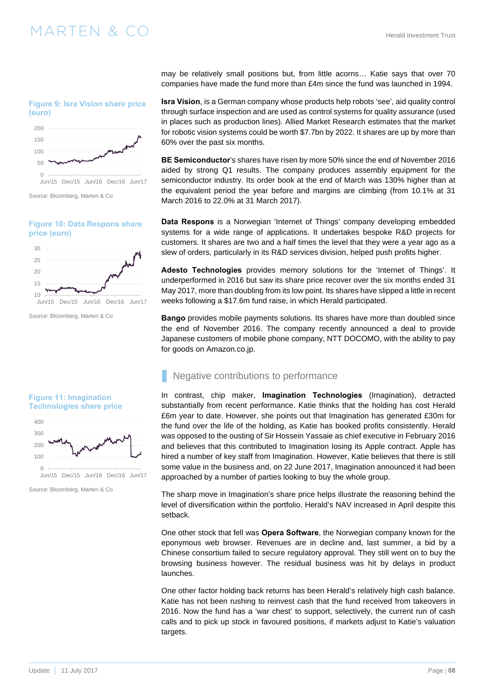## <span id="page-7-0"></span> $\mathsf{MARTEN}\ \&\ \mathsf{CO}$  and the contract  $\mathsf{MARTEN}\ \&\ \mathsf{CO}$

**Figure 9: Isra Vision share price (euro)** 



Source: Bloomberg, Marten & Co

#### **Figure 10: Data Respons share price (euro)**



Source: Bloomberg, Marten & Co

**Figure 11: Imagination** 



Jun/15 Dec/15 Jun/16 Dec/16 Jun/17

Source: Bloomberg, Marten & Co

may be relatively small positions but, from little acorns… Katie says that over 70 companies have made the fund more than £4m since the fund was launched in 1994.

**Isra Vision**, is a German company whose products help robots 'see', aid quality control through surface inspection and are used as control systems for quality assurance (used in places such as production lines). Allied Market Research estimates that the market for robotic vision systems could be worth \$7.7bn by 2022. It shares are up by more than 60% over the past six months.

**BE Semiconductor**'s shares have risen by more 50% since the end of November 2016 aided by strong Q1 results. The company produces assembly equipment for the semiconductor industry. Its order book at the end of March was 130% higher than at the equivalent period the year before and margins are climbing (from 10.1% at 31 March 2016 to 22.0% at 31 March 2017).

**Data Respons** is a Norwegian 'Internet of Things' company developing embedded systems for a wide range of applications. It undertakes bespoke R&D projects for customers. It shares are two and a half times the level that they were a year ago as a slew of orders, particularly in its R&D services division, helped push profits higher.

**Adesto Technologies** provides memory solutions for the 'Internet of Things'. It underperformed in 2016 but saw its share price recover over the six months ended 31 May 2017, more than doubling from its low point. Its shares have slipped a little in recent weeks following a \$17.6m fund raise, in which Herald participated.

**Bango** provides mobile payments solutions. Its shares have more than doubled since the end of November 2016. The company recently announced a deal to provide Japanese customers of mobile phone company, NTT DOCOMO, with the ability to pay for goods on Amazon.co.jp.

### Negative contributions to performance

In contrast, chip maker, **Imagination Technologies** (Imagination), detracted substantially from recent performance. Katie thinks that the holding has cost Herald £6m year to date. However, she points out that Imagination has generated £30m for the fund over the life of the holding, as Katie has booked profits consistently. Herald was opposed to the ousting of Sir Hossein Yassaie as chief executive in February 2016 and believes that this contributed to Imagination losing its Apple contract. Apple has hired a number of key staff from Imagination. However, Katie believes that there is still some value in the business and, on 22 June 2017, Imagination announced it had been approached by a number of parties looking to buy the whole group.

The sharp move in Imagination's share price helps illustrate the reasoning behind the level of diversification within the portfolio. Herald's NAV increased in April despite this setback.

One other stock that fell was **Opera Software**, the Norwegian company known for the eponymous web browser. Revenues are in decline and, last summer, a bid by a Chinese consortium failed to secure regulatory approval. They still went on to buy the browsing business however. The residual business was hit by delays in product launches.

One other factor holding back returns has been Herald's relatively high cash balance. Katie has not been rushing to reinvest cash that the fund received from takeovers in 2016. Now the fund has a 'war chest' to support, selectively, the current run of cash calls and to pick up stock in favoured positions, if markets adjust to Katie's valuation targets.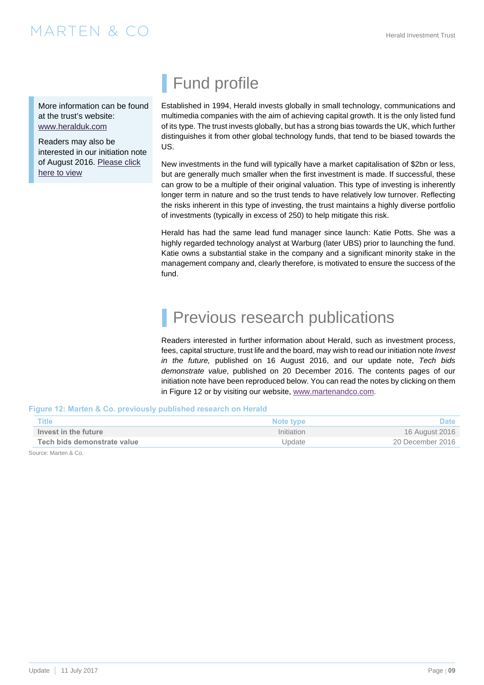### $\mathsf{MARTEN}\ \&\ \mathsf{CO}$  and the contract  $\mathsf{MARTEN}\ \&\ \mathsf{CO}$

More information can be found at the trust's website: www.heralduk.com

Readers may also be interested in our initiation note of August 2016. [Please click](http://martenandco.com/wp-content/uploads/2016/09/160810-Herald-Initiation-MC1.pdf)  [here to view](http://martenandco.com/wp-content/uploads/2016/09/160810-Herald-Initiation-MC1.pdf)

# Fund profile

Established in 1994, Herald invests globally in small technology, communications and multimedia companies with the aim of achieving capital growth. It is the only listed fund of its type. The trust invests globally, but has a strong bias towards the UK, which further distinguishes it from other global technology funds, that tend to be biased towards the US.

New investments in the fund will typically have a market capitalisation of \$2bn or less, but are generally much smaller when the first investment is made. If successful, these can grow to be a multiple of their original valuation. This type of investing is inherently longer term in nature and so the trust tends to have relatively low turnover. Reflecting the risks inherent in this type of investing, the trust maintains a highly diverse portfolio of investments (typically in excess of 250) to help mitigate this risk.

Herald has had the same lead fund manager since launch: Katie Potts. She was a highly regarded technology analyst at Warburg (later UBS) prior to launching the fund. Katie owns a substantial stake in the company and a significant minority stake in the management company and, clearly therefore, is motivated to ensure the success of the fund.

# Previous research publications

Readers interested in further information about Herald, such as investment process, fees, capital structure, trust life and the board, may wish to read our initiation note *Invest in the future,* published on 16 August 2016, and our update note, *Tech bids demonstrate value*, published on 20 December 2016. The contents pages of our initiation note have been reproduced below. You can read the notes by clicking on them in Figure 12 or by visiting our website, www.martenandco.com.

#### **Figure 12: Marten & Co. previously published research on Herald**

| <b>Title</b>                | Note type  | <b>Date</b>      |
|-----------------------------|------------|------------------|
| Invest in the future        | Initiation | 16 August 2016   |
| Tech bids demonstrate value | Update     | 20 December 2016 |

Source: Marten & Co.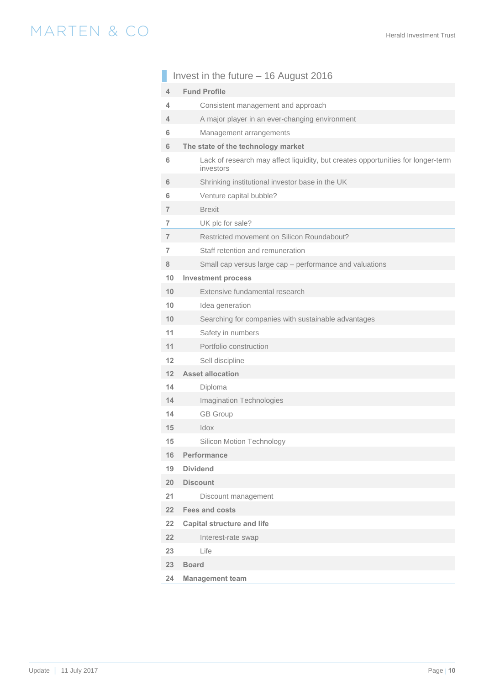## MARTEN & CO

|                 | Invest in the future $-$ 16 August 2016                                                       |
|-----------------|-----------------------------------------------------------------------------------------------|
| 4               | <b>Fund Profile</b>                                                                           |
| 4               | Consistent management and approach                                                            |
| 4               | A major player in an ever-changing environment                                                |
| 6               | Management arrangements                                                                       |
| 6               | The state of the technology market                                                            |
| 6               | Lack of research may affect liquidity, but creates opportunities for longer-term<br>investors |
| $6\phantom{1}6$ | Shrinking institutional investor base in the UK                                               |
| 6               | Venture capital bubble?                                                                       |
| $\overline{7}$  | <b>Brexit</b>                                                                                 |
| $\overline{7}$  | UK plc for sale?                                                                              |
| $\overline{7}$  | Restricted movement on Silicon Roundabout?                                                    |
| $\overline{7}$  | Staff retention and remuneration                                                              |
| 8               | Small cap versus large cap - performance and valuations                                       |
| 10              | <b>Investment process</b>                                                                     |
| 10              | Extensive fundamental research                                                                |
| 10              | Idea generation                                                                               |
| 10              | Searching for companies with sustainable advantages                                           |
| 11              | Safety in numbers                                                                             |
| 11              | Portfolio construction                                                                        |
| 12              | Sell discipline                                                                               |
| 12              | <b>Asset allocation</b>                                                                       |
| 14              | Diploma                                                                                       |
| 14              | <b>Imagination Technologies</b>                                                               |
| 14              | <b>GB Group</b>                                                                               |
| 15              | Idox                                                                                          |
| 15              | Silicon Motion Technology                                                                     |
| 16              | Performance                                                                                   |
| 19              | <b>Dividend</b>                                                                               |
| 20              | <b>Discount</b>                                                                               |
| 21              | Discount management                                                                           |
| 22              | <b>Fees and costs</b>                                                                         |
| 22              | <b>Capital structure and life</b>                                                             |
| 22              | Interest-rate swap                                                                            |
| 23              | Life                                                                                          |
| 23              | <b>Board</b>                                                                                  |
| 24              | <b>Management team</b>                                                                        |